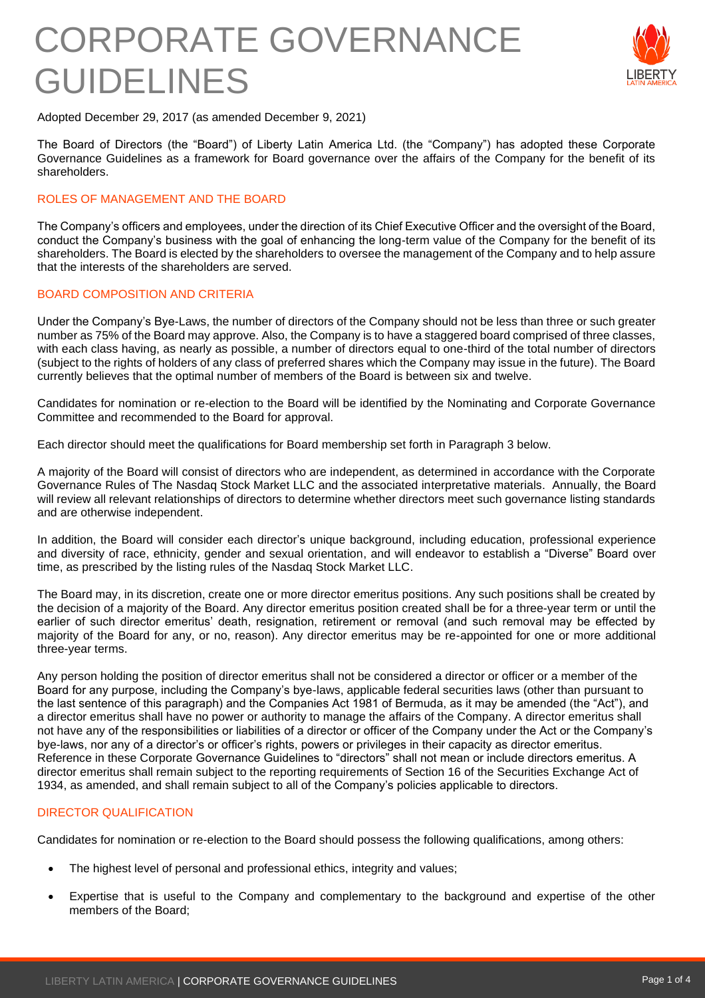

Adopted December 29, 2017 (as amended December 9, 2021)

The Board of Directors (the "Board") of Liberty Latin America Ltd. (the "Company") has adopted these Corporate Governance Guidelines as a framework for Board governance over the affairs of the Company for the benefit of its shareholders.

### ROLES OF MANAGEMENT AND THE BOARD

The Company's officers and employees, under the direction of its Chief Executive Officer and the oversight of the Board, conduct the Company's business with the goal of enhancing the long-term value of the Company for the benefit of its shareholders. The Board is elected by the shareholders to oversee the management of the Company and to help assure that the interests of the shareholders are served.

### BOARD COMPOSITION AND CRITERIA

Under the Company's Bye-Laws, the number of directors of the Company should not be less than three or such greater number as 75% of the Board may approve. Also, the Company is to have a staggered board comprised of three classes, with each class having, as nearly as possible, a number of directors equal to one-third of the total number of directors (subject to the rights of holders of any class of preferred shares which the Company may issue in the future). The Board currently believes that the optimal number of members of the Board is between six and twelve.

Candidates for nomination or re-election to the Board will be identified by the Nominating and Corporate Governance Committee and recommended to the Board for approval.

Each director should meet the qualifications for Board membership set forth in Paragraph 3 below.

A majority of the Board will consist of directors who are independent, as determined in accordance with the Corporate Governance Rules of The Nasdaq Stock Market LLC and the associated interpretative materials. Annually, the Board will review all relevant relationships of directors to determine whether directors meet such governance listing standards and are otherwise independent.

In addition, the Board will consider each director's unique background, including education, professional experience and diversity of race, ethnicity, gender and sexual orientation, and will endeavor to establish a "Diverse" Board over time, as prescribed by the listing rules of the Nasdaq Stock Market LLC.

The Board may, in its discretion, create one or more director emeritus positions. Any such positions shall be created by the decision of a majority of the Board. Any director emeritus position created shall be for a three-year term or until the earlier of such director emeritus' death, resignation, retirement or removal (and such removal may be effected by majority of the Board for any, or no, reason). Any director emeritus may be re-appointed for one or more additional three-year terms.

Any person holding the position of director emeritus shall not be considered a director or officer or a member of the Board for any purpose, including the Company's bye-laws, applicable federal securities laws (other than pursuant to the last sentence of this paragraph) and the Companies Act 1981 of Bermuda, as it may be amended (the "Act"), and a director emeritus shall have no power or authority to manage the affairs of the Company. A director emeritus shall not have any of the responsibilities or liabilities of a director or officer of the Company under the Act or the Company's bye-laws, nor any of a director's or officer's rights, powers or privileges in their capacity as director emeritus. Reference in these Corporate Governance Guidelines to "directors" shall not mean or include directors emeritus. A director emeritus shall remain subject to the reporting requirements of Section 16 of the Securities Exchange Act of 1934, as amended, and shall remain subject to all of the Company's policies applicable to directors.

#### DIRECTOR QUALIFICATION

Candidates for nomination or re-election to the Board should possess the following qualifications, among others:

- The highest level of personal and professional ethics, integrity and values;
- Expertise that is useful to the Company and complementary to the background and expertise of the other members of the Board;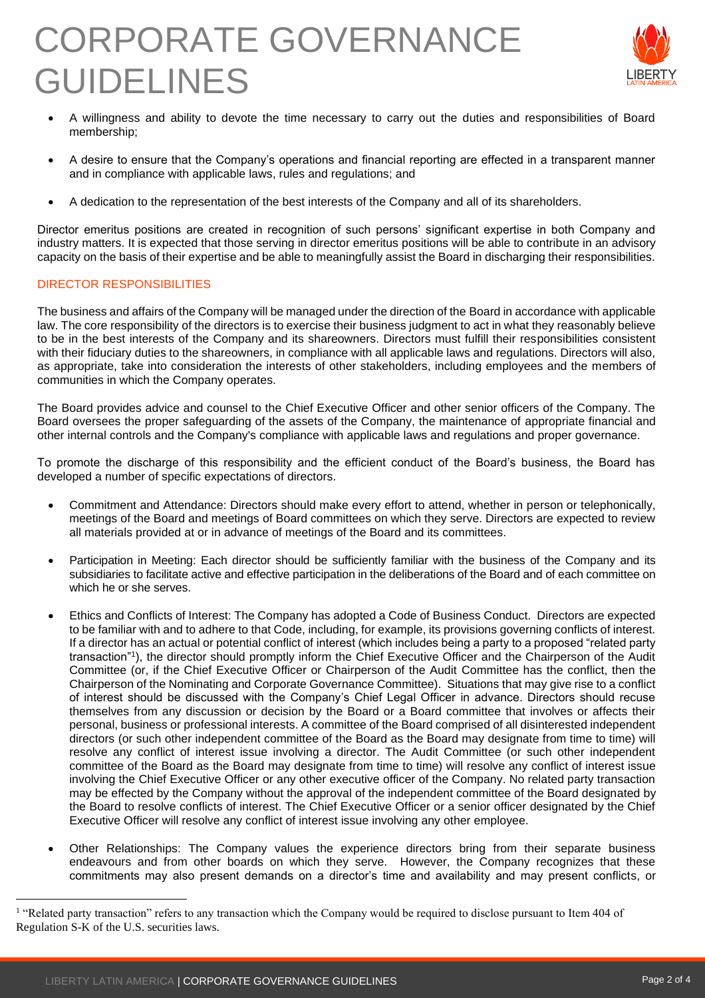

- A willingness and ability to devote the time necessary to carry out the duties and responsibilities of Board membership;
- A desire to ensure that the Company's operations and financial reporting are effected in a transparent manner and in compliance with applicable laws, rules and regulations; and
- A dedication to the representation of the best interests of the Company and all of its shareholders.

Director emeritus positions are created in recognition of such persons' significant expertise in both Company and industry matters. It is expected that those serving in director emeritus positions will be able to contribute in an advisory capacity on the basis of their expertise and be able to meaningfully assist the Board in discharging their responsibilities.

## DIRECTOR RESPONSIBILITIES

The business and affairs of the Company will be managed under the direction of the Board in accordance with applicable law. The core responsibility of the directors is to exercise their business judgment to act in what they reasonably believe to be in the best interests of the Company and its shareowners. Directors must fulfill their responsibilities consistent with their fiduciary duties to the shareowners, in compliance with all applicable laws and regulations. Directors will also, as appropriate, take into consideration the interests of other stakeholders, including employees and the members of communities in which the Company operates.

The Board provides advice and counsel to the Chief Executive Officer and other senior officers of the Company. The Board oversees the proper safeguarding of the assets of the Company, the maintenance of appropriate financial and other internal controls and the Company's compliance with applicable laws and regulations and proper governance.

To promote the discharge of this responsibility and the efficient conduct of the Board's business, the Board has developed a number of specific expectations of directors.

- Commitment and Attendance: Directors should make every effort to attend, whether in person or telephonically, meetings of the Board and meetings of Board committees on which they serve. Directors are expected to review all materials provided at or in advance of meetings of the Board and its committees.
- Participation in Meeting: Each director should be sufficiently familiar with the business of the Company and its subsidiaries to facilitate active and effective participation in the deliberations of the Board and of each committee on which he or she serves.
- Ethics and Conflicts of Interest: The Company has adopted a Code of Business Conduct. Directors are expected to be familiar with and to adhere to that Code, including, for example, its provisions governing conflicts of interest. If a director has an actual or potential conflict of interest (which includes being a party to a proposed "related party transaction"<sup>1</sup> ), the director should promptly inform the Chief Executive Officer and the Chairperson of the Audit Committee (or, if the Chief Executive Officer or Chairperson of the Audit Committee has the conflict, then the Chairperson of the Nominating and Corporate Governance Committee). Situations that may give rise to a conflict of interest should be discussed with the Company's Chief Legal Officer in advance. Directors should recuse themselves from any discussion or decision by the Board or a Board committee that involves or affects their personal, business or professional interests. A committee of the Board comprised of all disinterested independent directors (or such other independent committee of the Board as the Board may designate from time to time) will resolve any conflict of interest issue involving a director. The Audit Committee (or such other independent committee of the Board as the Board may designate from time to time) will resolve any conflict of interest issue involving the Chief Executive Officer or any other executive officer of the Company. No related party transaction may be effected by the Company without the approval of the independent committee of the Board designated by the Board to resolve conflicts of interest. The Chief Executive Officer or a senior officer designated by the Chief Executive Officer will resolve any conflict of interest issue involving any other employee.
- Other Relationships: The Company values the experience directors bring from their separate business endeavours and from other boards on which they serve. However, the Company recognizes that these commitments may also present demands on a director's time and availability and may present conflicts, or

<sup>&</sup>lt;sup>1</sup> "Related party transaction" refers to any transaction which the Company would be required to disclose pursuant to Item 404 of Regulation S-K of the U.S. securities laws.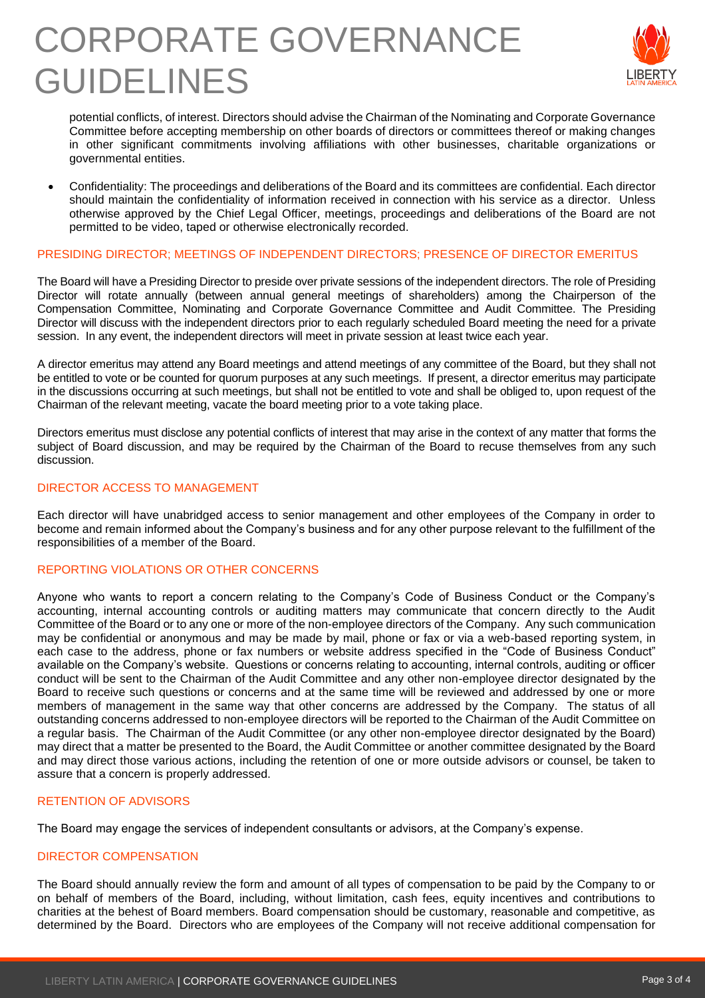

potential conflicts, of interest. Directors should advise the Chairman of the Nominating and Corporate Governance Committee before accepting membership on other boards of directors or committees thereof or making changes in other significant commitments involving affiliations with other businesses, charitable organizations or governmental entities.

• Confidentiality: The proceedings and deliberations of the Board and its committees are confidential. Each director should maintain the confidentiality of information received in connection with his service as a director. Unless otherwise approved by the Chief Legal Officer, meetings, proceedings and deliberations of the Board are not permitted to be video, taped or otherwise electronically recorded.

### PRESIDING DIRECTOR; MEETINGS OF INDEPENDENT DIRECTORS; PRESENCE OF DIRECTOR EMERITUS

The Board will have a Presiding Director to preside over private sessions of the independent directors. The role of Presiding Director will rotate annually (between annual general meetings of shareholders) among the Chairperson of the Compensation Committee, Nominating and Corporate Governance Committee and Audit Committee. The Presiding Director will discuss with the independent directors prior to each regularly scheduled Board meeting the need for a private session. In any event, the independent directors will meet in private session at least twice each year.

A director emeritus may attend any Board meetings and attend meetings of any committee of the Board, but they shall not be entitled to vote or be counted for quorum purposes at any such meetings. If present, a director emeritus may participate in the discussions occurring at such meetings, but shall not be entitled to vote and shall be obliged to, upon request of the Chairman of the relevant meeting, vacate the board meeting prior to a vote taking place.

Directors emeritus must disclose any potential conflicts of interest that may arise in the context of any matter that forms the subject of Board discussion, and may be required by the Chairman of the Board to recuse themselves from any such discussion.

### DIRECTOR ACCESS TO MANAGEMENT

Each director will have unabridged access to senior management and other employees of the Company in order to become and remain informed about the Company's business and for any other purpose relevant to the fulfillment of the responsibilities of a member of the Board.

## REPORTING VIOLATIONS OR OTHER CONCERNS

Anyone who wants to report a concern relating to the Company's Code of Business Conduct or the Company's accounting, internal accounting controls or auditing matters may communicate that concern directly to the Audit Committee of the Board or to any one or more of the non-employee directors of the Company. Any such communication may be confidential or anonymous and may be made by mail, phone or fax or via a web-based reporting system, in each case to the address, phone or fax numbers or website address specified in the "Code of Business Conduct" available on the Company's website. Questions or concerns relating to accounting, internal controls, auditing or officer conduct will be sent to the Chairman of the Audit Committee and any other non-employee director designated by the Board to receive such questions or concerns and at the same time will be reviewed and addressed by one or more members of management in the same way that other concerns are addressed by the Company. The status of all outstanding concerns addressed to non-employee directors will be reported to the Chairman of the Audit Committee on a regular basis. The Chairman of the Audit Committee (or any other non-employee director designated by the Board) may direct that a matter be presented to the Board, the Audit Committee or another committee designated by the Board and may direct those various actions, including the retention of one or more outside advisors or counsel, be taken to assure that a concern is properly addressed.

## RETENTION OF ADVISORS

The Board may engage the services of independent consultants or advisors, at the Company's expense.

#### DIRECTOR COMPENSATION

The Board should annually review the form and amount of all types of compensation to be paid by the Company to or on behalf of members of the Board, including, without limitation, cash fees, equity incentives and contributions to charities at the behest of Board members. Board compensation should be customary, reasonable and competitive, as determined by the Board. Directors who are employees of the Company will not receive additional compensation for